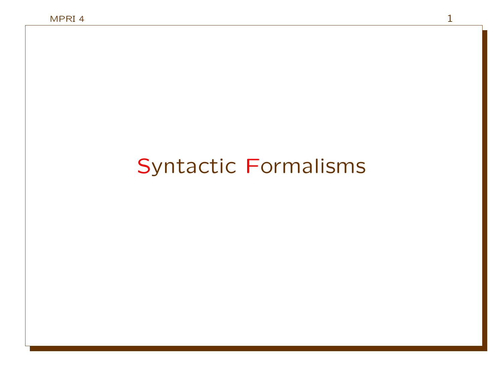## Syntactic Formalisms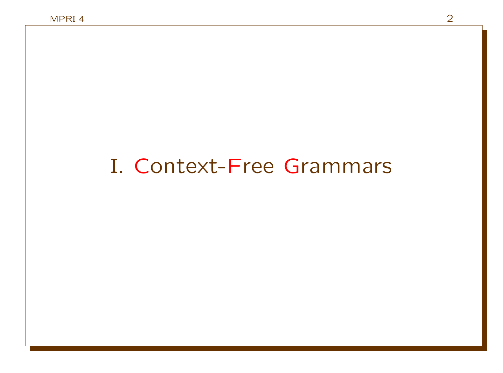## I. Context-Free Grammars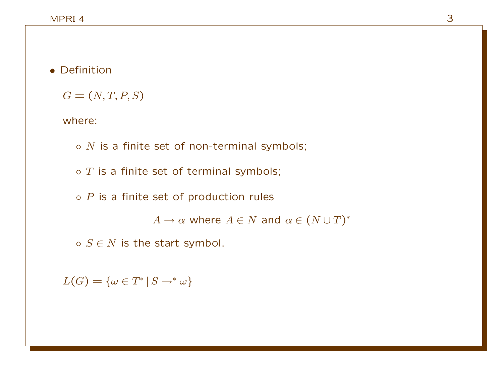#### • Definition

 $G = (N, T, P, S)$ 

where:

 $\circ$  N is a finite set of non-terminal symbols;

 $\circ$  T is a finite set of terminal symbols;

 $\circ$  P is a finite set of production rules

 $A \to \alpha$  where  $A \in N$  and  $\alpha \in (N \cup T)^*$ 

 $\circ$   $S \in N$  is the start symbol.

 $L(G) = \{ \omega \in T^* \mid S \rightarrow^* \omega \}$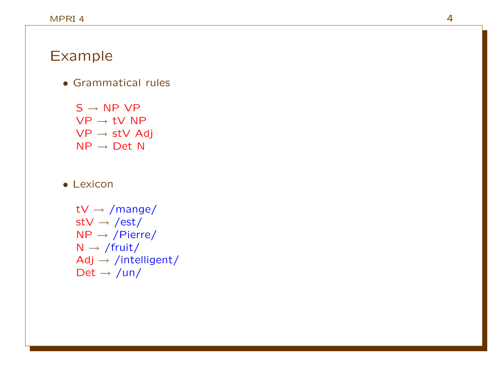#### Example

• Grammatical rules

 $S \rightarrow NP VP$  $\mathsf{VP}\to \mathsf{t}\mathsf{V}$  NP  $\mathsf{VP}\to\mathsf{stV}$  Adj  $NP \rightarrow Det N$ 

#### • Lexicon

tV  $\rightarrow$  /mange/ stV  $\rightarrow$  /est/  $NP \rightarrow /Pierre/$  $N \rightarrow /$ fruit/  $Adj \rightarrow /intelligent/$ Det  $\rightarrow$  /un/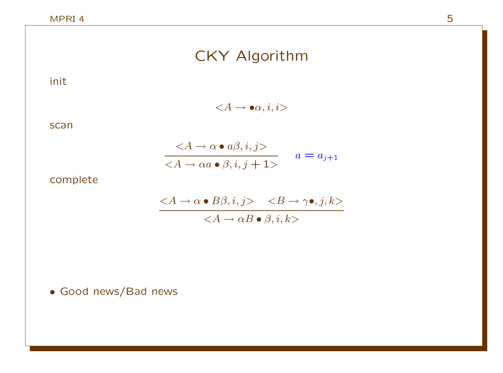## CKY Algorithm

init

 $\langle A \rightarrow \bullet \alpha, i, i \rangle$ 

scan

$$
\frac{}{} \qquad a = a\\_{j+1}
$$

complete

$$
\frac{\quad }{}
$$

• Good news/Bad news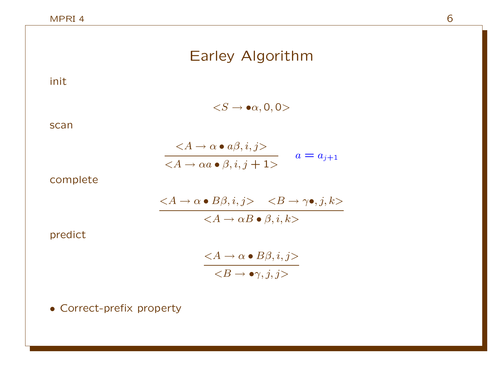| Earley Algorithm                                     |
|------------------------------------------------------|
|                                                      |
| $\langle S \rightarrow \bullet \alpha, 0, 0 \rangle$ |

scan

init

$$
\frac{}{} \qquad a = a\\_{j+1}
$$

complete

$$
\frac{\quad }{}
$$

predict

 $\langle A \rightarrow \alpha \bullet B\beta, i, j \rangle$  $\langle B \rightarrow \bullet \gamma, j, j \rangle$ 

• Correct-prefix property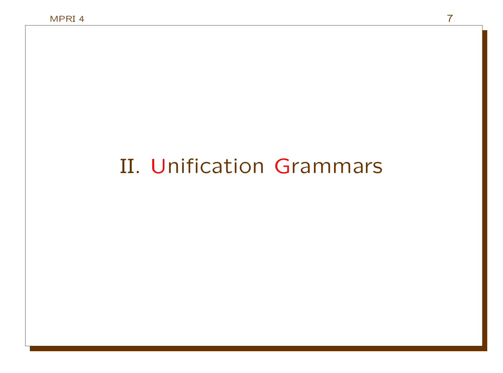# II. Unification Grammars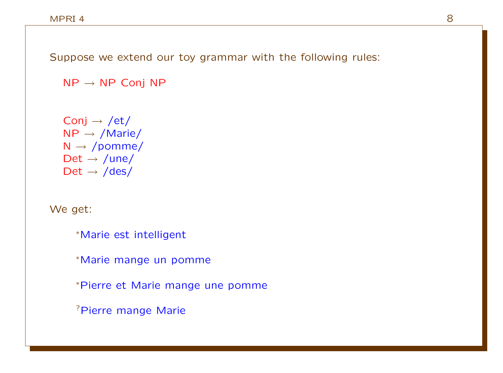Suppose we extend our toy grammar with the following rules:

 $NP \rightarrow NP$  Conj NP

Conj  $\rightarrow$  /et/  $NP \rightarrow /Marie/$  $N \rightarrow /p$ omme/ Det  $\rightarrow$  /une/  $Det \rightarrow /des/$ 

We get:

<sup>∗</sup>Marie est intelligent

<sup>∗</sup>Marie mange un pomme

<sup>∗</sup>Pierre et Marie mange une pomme

?Pierre mange Marie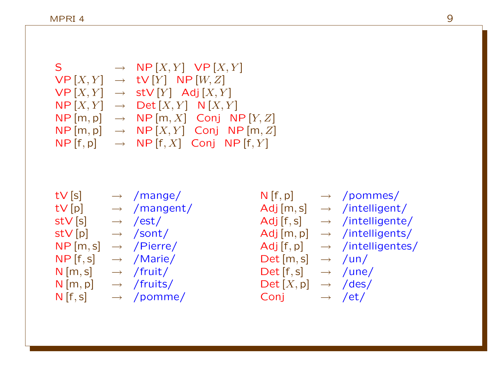$S \rightarrow NP[X, Y] VP[X, Y]$  $VP[X, Y] \rightarrow TV[Y] NP[W, Z]$  $VP[X, Y] \rightarrow stV[Y]$  Adj $[X, Y]$  $NP [X, Y] \rightarrow Det [X, Y] N [X, Y]$  $NP[m, p] \rightarrow NP[m, X]$  Conj  $NP[Y, Z]$  $NP[m, p] \rightarrow NP[X, Y]$  Conj  $NP[m, Z]$  $NP [f, p] \rightarrow NP [f, X]$  Conj NP  $[f, Y]$ 

 $tV[s] \rightarrow /mange/$  $tV[p] \rightarrow /mangent/$  $\mathsf{stV}[\mathsf{s}] \longrightarrow / \mathsf{est}/$  $stV[p] \rightarrow /sont/$  $NP[m,s] \rightarrow /Pierre/$  $NP [f, s] \rightarrow /Marie/$  $N$  [m, s]  $\rightarrow$  /fruit/  $N[m, p] \rightarrow /fruits/$  $N[f,s] \rightarrow$  /pomme/

 $N[f, p] \rightarrow$  /pommes/ Adj  $[m, s] \rightarrow$  /intelligent/ Adj  $[f,s] \rightarrow$  /intelligente/  $Adj[m, p] \rightarrow$  /intelligents/  $Adj [f, p] \rightarrow /intelligentes/$  $Det[m, s] \rightarrow \text{/un/}$  $Det [f, s] \rightarrow /une/$  $Det [X, p] \rightarrow /des/$ Conj  $\rightarrow$  /et/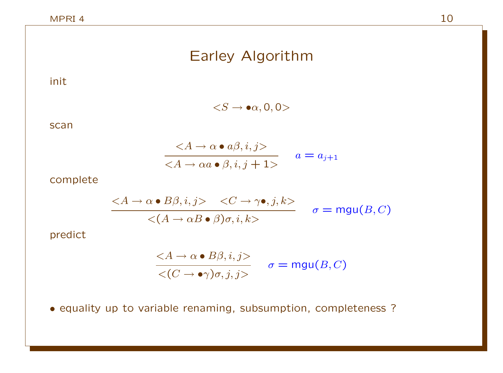## Earley Algorithm

init

 $\langle S \rightarrow \bullet \alpha, 0, 0 \rangle$ 

scan

$$
\frac{}{} \qquad a = a\\_{j+1}
$$

complete

$$
\frac{}{} \qquad \sigma = \text{mgu}\\(B, C\\)
$$

predict

$$
\frac{}{<\(C \to \bullet \gamma\)\sigma, j, j>} \quad \sigma = \text{mgu}\(B, C\)
$$

• equality up to variable renaming, subsumption, completeness ?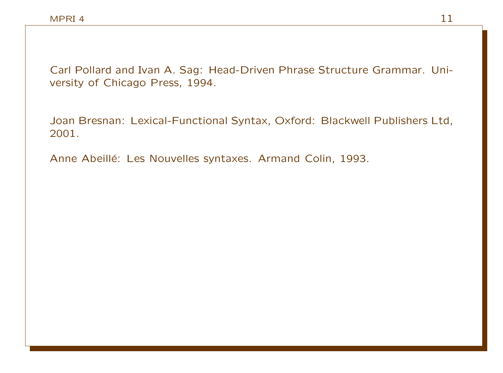Carl Pollard and Ivan A. Sag: Head-Driven Phrase Structure Grammar. University of Chicago Press, 1994.

Joan Bresnan: Lexical-Functional Syntax, Oxford: Blackwell Publishers Ltd, 2001.

Anne Abeillé: Les Nouvelles syntaxes. Armand Colin, 1993.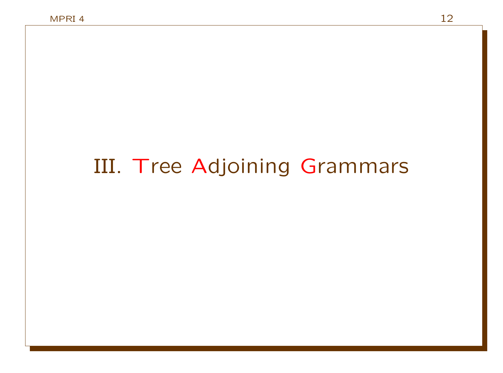# III. Tree Adjoining Grammars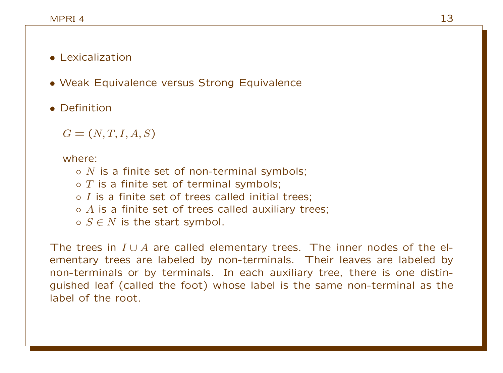#### • Lexicalization

- Weak Equivalence versus Strong Equivalence
- Definition

 $G = (N, T, I, A, S)$ 

where:

- $\circ$  N is a finite set of non-terminal symbols;
- $\circ$  T is a finite set of terminal symbols;
- $\circ$  *I* is a finite set of trees called initial trees:
- $\circ$  A is a finite set of trees called auxiliary trees;
- $\circ$   $S \in N$  is the start symbol.

The trees in  $I \cup A$  are called elementary trees. The inner nodes of the elementary trees are labeled by non-terminals. Their leaves are labeled by non-terminals or by terminals. In each auxiliary tree, there is one distinguished leaf (called the foot) whose label is the same non-terminal as the label of the root.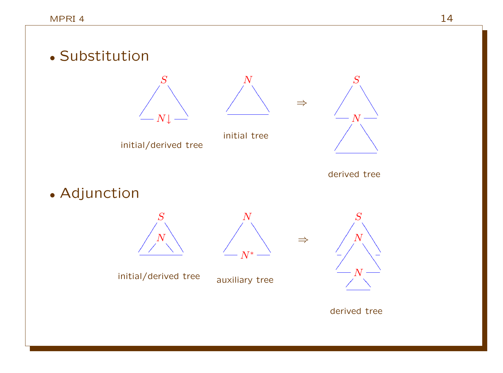



initial/derived tree initial tree



derived tree

⇒

⇒

• Adjunction





N

initial/derived tree

auxiliary tree



derived tree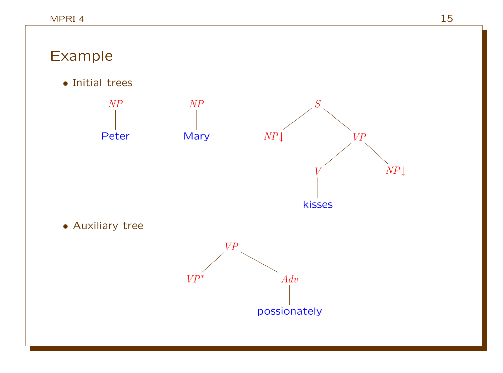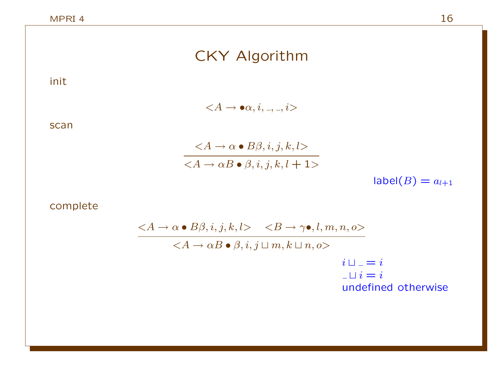# CKY Algorithm

init

 $\langle A \rightarrow \bullet \alpha, i, \_, \_, i \rangle$ 

scan

$$
\frac{}{{}
$$

 $label(B) = a_{l+1}$ 

complete

$$
\langle A \rightarrow \alpha \bullet B\beta, i, j, k, l \rangle \langle B \rightarrow \gamma \bullet, l, m, n, o \rangle
$$
  

$$
\langle A \rightarrow \alpha B \bullet \beta, i, j \sqcup m, k \sqcup n, o \rangle
$$
  

$$
i \sqcup_{-} = i
$$
  

$$
\sqcup i = i
$$
  
undefined otherwise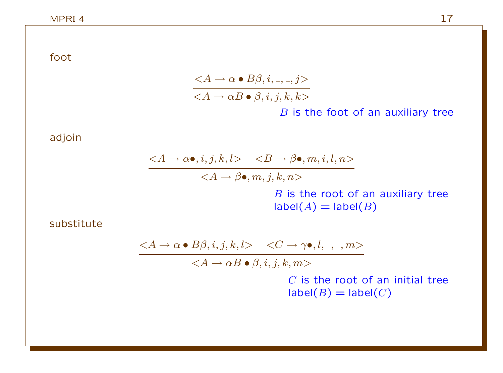foot

$$
\frac{}{} \nB \text{ is the foot of an auxiliary tree}
$$

adjoin

 $\langle A \rightarrow \alpha \bullet, i, j, k, l \rangle \langle B \rightarrow \beta \bullet, m, i, l, n \rangle$  $\overline{\langle A \rightarrow \beta \bullet, m, j, k, n \rangle}$  $B$  is the root of an auxiliary tree  $label(A) = label(B)$ 

substitute

$$
\langle A \to \alpha \bullet B\beta, i, j, k, l \rangle \quad \langle C \to \gamma \bullet, l, \_, \_, m \rangle
$$

 $\langle A \rightarrow \alpha B \bullet \beta, i, j, k, m \rangle$ 

 $C$  is the root of an initial tree  $label(B) = label(C)$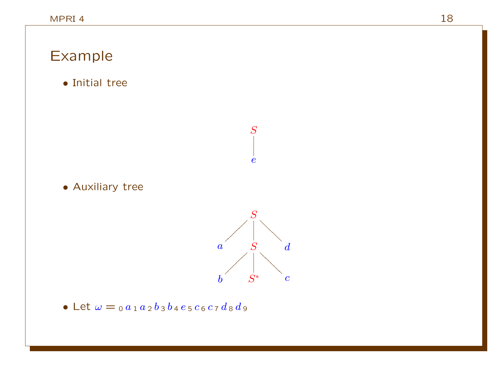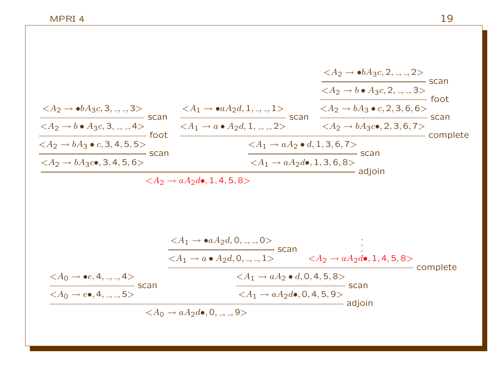$$
\frac{A_2 \rightarrow \bullet bA_3c, 3, ..., 3>}{A_2 \rightarrow \bullet A_3c, 3, ..., 3>} \text{ scan}
$$
\n
$$
\frac{A_1 \rightarrow \bullet aA_2d, 1, ..., 1>}{A_2 \rightarrow bA_3c, 2, ..., 3>} \text{ scan}
$$
\n
$$
\frac{A_2 \rightarrow \bullet bA_3c, 2, ..., 2>}{A_2 \rightarrow bA_3 \bullet c, 3, 4, 5, 5>} \text{ scan}
$$
\n
$$
\frac{A_1 \rightarrow \bullet aA_2d, 1, ..., 2>}{A_1 \rightarrow a \bullet A_2d, 1, ..., 2>} \text{ scan}
$$
\n
$$
\frac{A_2 \rightarrow bA_3 \bullet c, 2, 3, 6, 6>}{A_2 \rightarrow bA_3c \bullet, 2, 3, 6, 7>} \text{ scan}
$$
\n
$$
\frac{A_1 \rightarrow aA_2d, 1, 3, 6, 7>}{A_1 \rightarrow aA_2d \bullet, 1, 3, 6, 8>} \text{ scan}
$$
\n
$$
\frac{A_1 \rightarrow aA_2d, 0, ..., 0>}{A_1 \rightarrow aA_2d, 0, ..., 1>} \text{ scan}
$$
\n
$$
\frac{A_1 \rightarrow \bullet aA_2d, 0, ..., 0>}{A_1 \rightarrow aA_2d, 0, ..., 1>} \text{ scan}
$$
\n
$$
\frac{A_1 \rightarrow \bullet aA_2d, 0, ..., 0>}{A_1 \rightarrow aA_2d, 0, ..., 1>} \text{ scan}
$$
\n
$$
\frac{A_1 \rightarrow aA_2d, 0, ..., 1>}{A_1 \rightarrow aA_2d, 0, 4, 5, 8>} \text{ scan}
$$
\n
$$
\frac{A_1 \rightarrow aA_2d, 0, ..., 1>}{A_1 \rightarrow aA_2d, 0, 4, 5, 8>} \text{ scan}
$$
\n
$$
\frac{A_1 \rightarrow aA_2d, 0, 4, 5, 8>}{A_1 \rightarrow aA_2d, 0, 4, 5, 8>} \text{ scan}
$$
\n
$$
\frac{A_1 \rightarrow aA_2d, 0, 4, 5, 8>}{A_1 \rightarrow aA_2d, 0, 4, 5, 8>} \text{ scan}
$$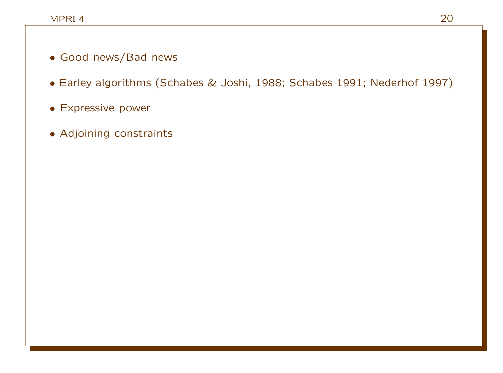- Good news/Bad news
- Earley algorithms (Schabes & Joshi, 1988; Schabes 1991; Nederhof 1997)
- Expressive power
- Adjoining constraints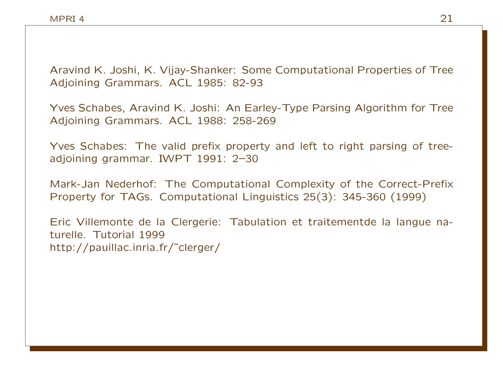Aravind K. Joshi, K. Vijay-Shanker: Some Computational Properties of Tree Adjoining Grammars. ACL 1985: 82-93

Yves Schabes, Aravind K. Joshi: An Earley-Type Parsing Algorithm for Tree Adjoining Grammars. ACL 1988: 258-269

Yves Schabes: The valid prefix property and left to right parsing of treeadjoining grammar. IWPT 1991: 2–30

Mark-Jan Nederhof: The Computational Complexity of the Correct-Prefix Property for TAGs. Computational Linguistics 25(3): 345-360 (1999)

Eric Villemonte de la Clergerie: Tabulation et traitementde la langue naturelle. Tutorial 1999 http://pauillac.inria.fr/˜clerger/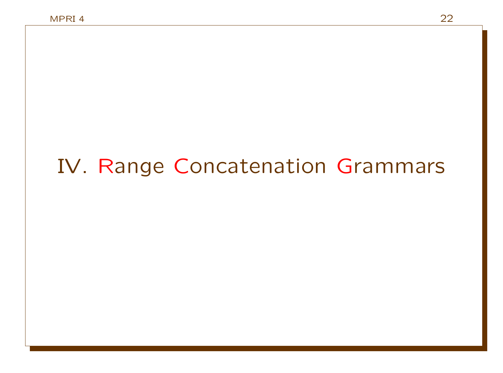# IV. Range Concatenation Grammars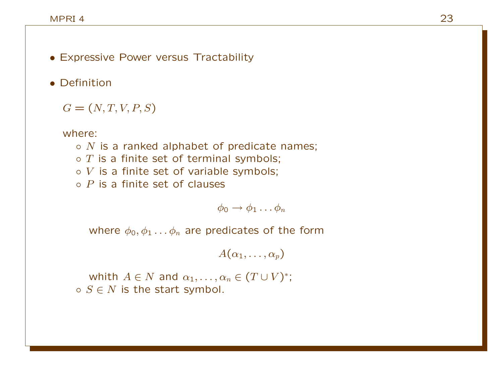- Expressive Power versus Tractability
- Definition

 $G = (N, T, V, P, S)$ 

where:

 $\circ$  N is a ranked alphabet of predicate names;  $\circ$  T is a finite set of terminal symbols;  $\circ$  V is a finite set of variable symbols;  $\circ$  P is a finite set of clauses

 $\phi_0 \rightarrow \phi_1 \ldots \phi_n$ 

where  $\phi_0, \phi_1 \ldots \phi_n$  are predicates of the form

 $A(\alpha_1, \ldots, \alpha_n)$ 

whith  $A \in N$  and  $\alpha_1, \ldots, \alpha_n \in (T \cup V)^*;$  $\circ$   $S \in N$  is the start symbol.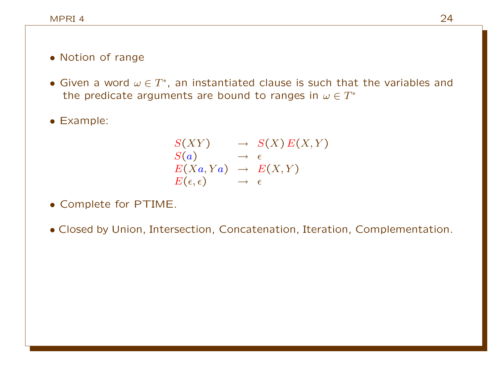#### • Notion of range

• Given a word  $\omega \in T^*$ , an instantiated clause is such that the variables and the predicate arguments are bound to ranges in  $\omega \in T^*$ 

• Example:

$$
S(XY) \rightarrow S(X) E(X,Y) \nS(a) \rightarrow \epsilon \nE(Xa, Ya) \rightarrow E(X,Y) \nE(\epsilon, \epsilon) \rightarrow \epsilon
$$

- Complete for PTIME.
- Closed by Union, Intersection, Concatenation, Iteration, Complementation.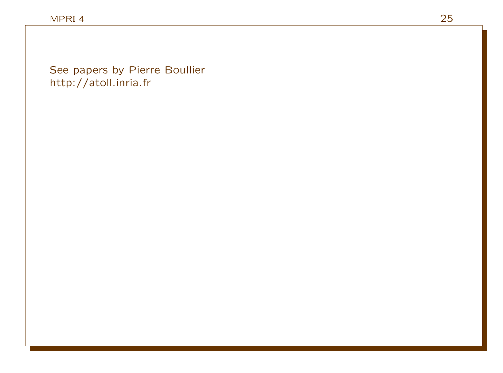See papers by Pierre Boullier http://atoll.inria.fr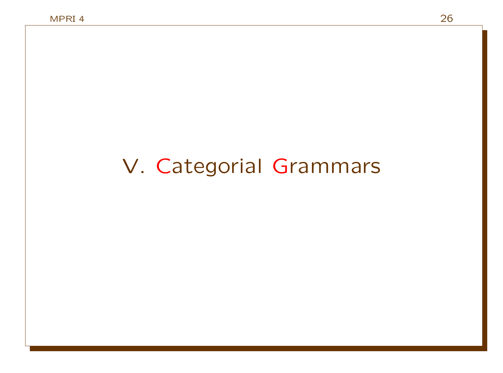# V. Categorial Grammars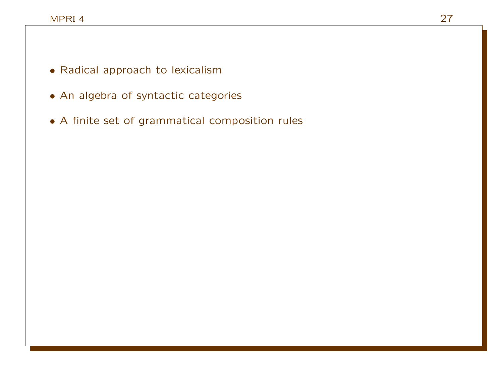- Radical approach to lexicalism
- An algebra of syntactic categories
- A finite set of grammatical composition rules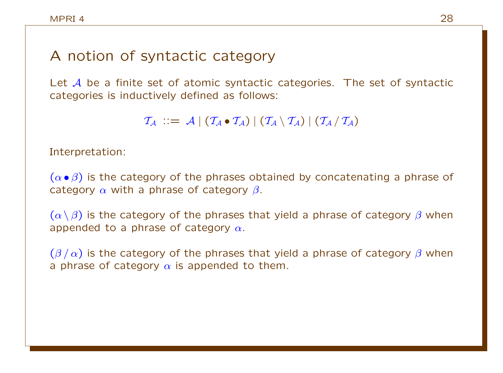### A notion of syntactic category

Let A be a finite set of atomic syntactic categories. The set of syntactic categories is inductively defined as follows:

 $T_A$  ::=  $A | (T_A \bullet T_A) | (T_A \setminus T_A) | (T_A / T_A)$ 

Interpretation:

 $(\alpha \bullet \beta)$  is the category of the phrases obtained by concatenating a phrase of category  $\alpha$  with a phrase of category  $\beta$ .

 $(\alpha \setminus \beta)$  is the category of the phrases that yield a phrase of category  $\beta$  when appended to a phrase of category  $\alpha$ .

 $(\beta/\alpha)$  is the category of the phrases that yield a phrase of category  $\beta$  when a phrase of category  $\alpha$  is appended to them.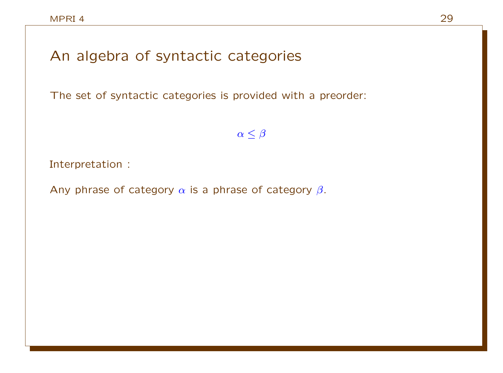## An algebra of syntactic categories

The set of syntactic categories is provided with a preorder:

 $\alpha \leq \beta$ 

Interpretation :

Any phrase of category  $\alpha$  is a phrase of category  $\beta$ .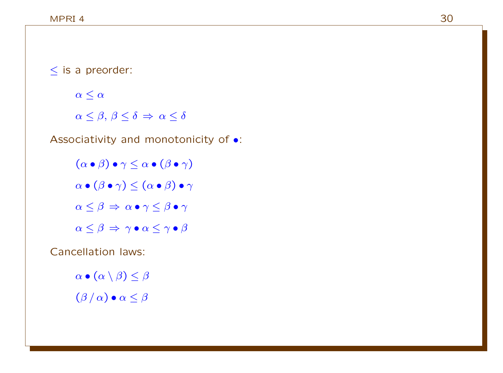≤ is a preorder:

 $\alpha \leq \alpha$ 

 $\alpha \leq \beta, \beta \leq \delta \Rightarrow \alpha \leq \delta$ 

Associativity and monotonicity of •:

 $(\alpha \bullet \beta) \bullet \gamma \leq \alpha \bullet (\beta \bullet \gamma)$  $\alpha \bullet (\beta \bullet \gamma) \leq (\alpha \bullet \beta) \bullet \gamma$  $\alpha \leq \beta \Rightarrow \alpha \bullet \gamma \leq \beta \bullet \gamma$  $\alpha \leq \beta \Rightarrow \gamma \bullet \alpha \leq \gamma \bullet \beta$ 

Cancellation laws:

 $\alpha \bullet (\alpha \setminus \beta) \leq \beta$  $(\beta/\alpha) \bullet \alpha \leq \beta$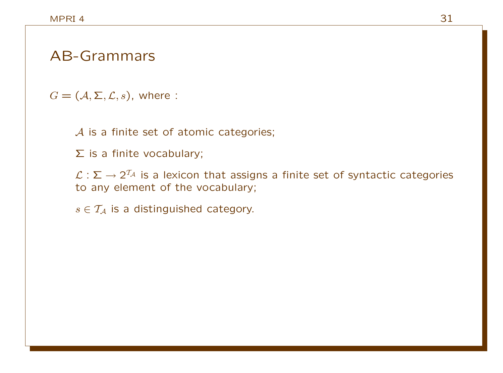#### AB-Grammars

 $G = (\mathcal{A}, \Sigma, \mathcal{L}, s)$ , where :

A is a finite set of atomic categories;

Σ is a finite vocabulary;

 $\mathcal{L}:\mathsf{\Sigma}\to 2^{\mathcal{T}_\mathcal{A}}$  is a lexicon that assigns a finite set of syntactic categories to any element of the vocabulary;

 $s \in \mathcal{T}_A$  is a distinguished category.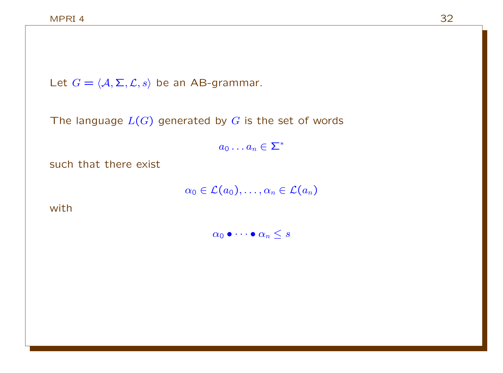Let  $G = \langle A, \Sigma, \mathcal{L}, s \rangle$  be an AB-grammar.

The language  $L(G)$  generated by G is the set of words

 $a_0 \ldots a_n \in \Sigma^*$ 

such that there exist

 $\alpha_0 \in \mathcal{L}(a_0), \ldots, \alpha_n \in \mathcal{L}(a_n)$ 

with

 $\alpha_0 \bullet \cdots \bullet \alpha_n \leq s$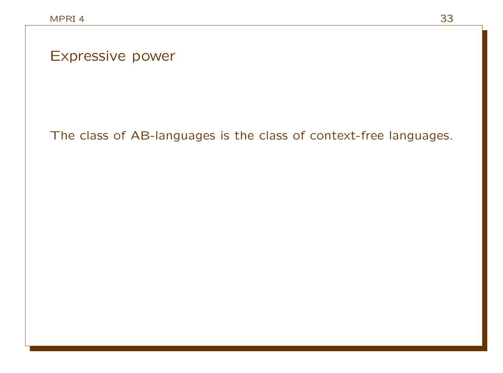Expressive power

### The class of AB-languages is the class of context-free languages.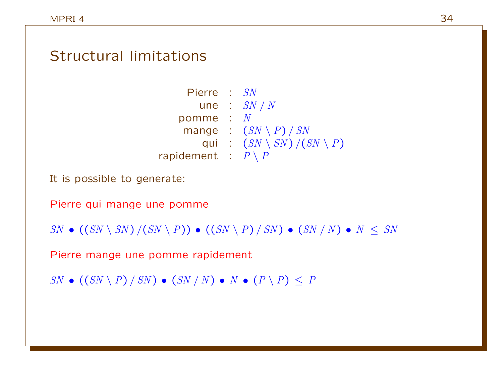#### Structural limitations

| Pierre : SN                              |
|------------------------------------------|
| une : $SN / N$                           |
| $\cdot$ N                                |
| mange : $(SN \setminus P) / SN$          |
| : $(SN \setminus SN) / (SN \setminus P)$ |
| rapidement : $P \setminus P$             |
|                                          |

It is possible to generate:

Pierre qui mange une pomme

 $SN \bullet ((SN \setminus SN) / (SN \setminus P)) \bullet ((SN \setminus P) / SN) \bullet (SN / N) \bullet N \leq SN$ 

Pierre mange une pomme rapidement

 $SN \bullet ((SN \setminus P) / SN) \bullet (SN / N) \bullet N \bullet (P \setminus P) \leq P$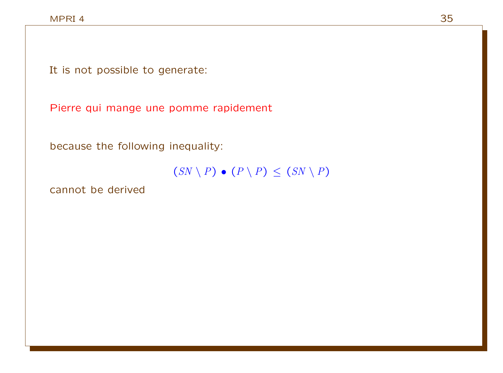It is not possible to generate:

Pierre qui mange une pomme rapidement

because the following inequality:

 $(SN \setminus P) \bullet (P \setminus P) \leq (SN \setminus P)$ 

cannot be derived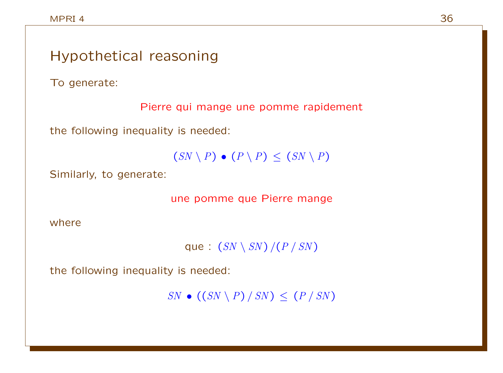## Hypothetical reasoning To generate: Pierre qui mange une pomme rapidement the following inequality is needed:  $(SN \setminus P) \bullet (P \setminus P) \leq (SN \setminus P)$ Similarly, to generate: une pomme que Pierre mange where

que :  $(SN \setminus SN) / (P / SN)$ 

the following inequality is needed:

 $SN \bullet ((SN \setminus P) / SN) \le (P / SN)$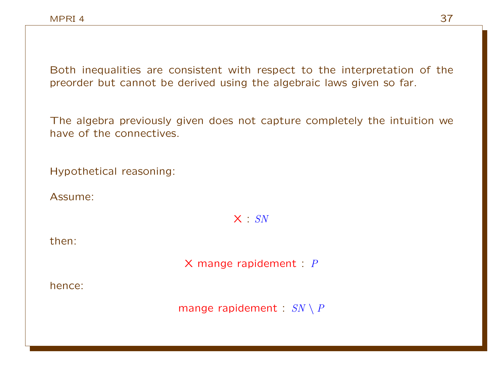Both inequalities are consistent with respect to the interpretation of the preorder but cannot be derived using the algebraic laws given so far.

The algebra previously given does not capture completely the intuition we have of the connectives.

Hypothetical reasoning:

Assume:

 $X : SN$ 

then:

 $X$  mange rapidement :  $P$ 

hence:

mange rapidement :  $SN \setminus P$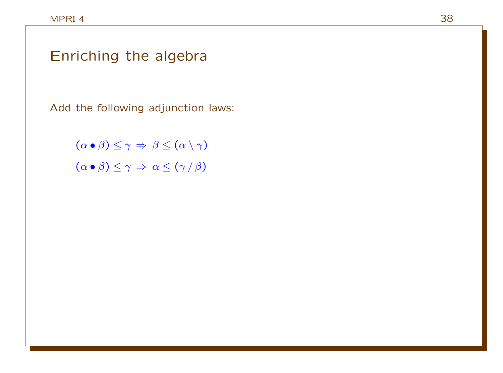## Enriching the algebra

Add the following adjunction laws:

 $(\alpha \bullet \beta) \leq \gamma \Rightarrow \beta \leq (\alpha \setminus \gamma)$  $(\alpha \bullet \beta) \leq \gamma \Rightarrow \alpha \leq (\gamma / \beta)$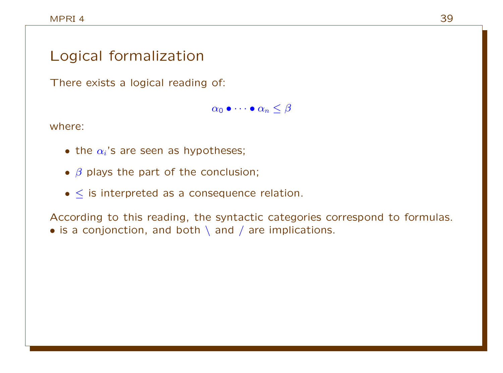### Logical formalization

There exists a logical reading of:

 $\alpha_0 \bullet \cdots \bullet \alpha_n \leq \beta$ 

where:

- the  $\alpha_i$ 's are seen as hypotheses;
- $\beta$  plays the part of the conclusion;
- $\bullet$  < is interpreted as a consequence relation.

According to this reading, the syntactic categories correspond to formulas. • is a conjonction, and both  $\setminus$  and  $\prime$  are implications.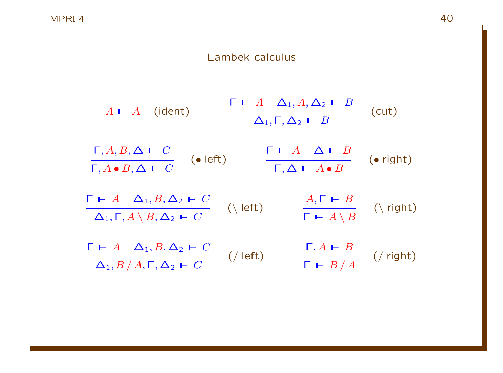#### Lambek calculus  $A \vdash A$  (ident)  $\Gamma$   $\vdash$  A  $\Delta_1$ ,  $A$ ,  $\Delta_2$   $\vdash$  B (cut)  $\Delta_1, \Gamma, \Delta_2 \vdash B$  $\Gamma, A, B, \Delta \vdash C$ (• left)  $\Gamma, A \bullet B, \Delta \vdash C$  $\Gamma$   $\vdash$  A  $\Delta$   $\vdash$  B (• right)  $\Gamma, \Delta \vdash A \bullet B$  $\Gamma$   $\vdash$  A  $\Delta_1$ , B,  $\Delta_2$   $\vdash$  C  $(\langle \text{ left})$  $\Delta_1, \Gamma, A \setminus B, \Delta_2 \vdash C$  $A, \Gamma \vdash B$  $(\nabla \$  right)  $\Gamma$   $\vdash$   $A \setminus B$  $\Gamma \vdash A \quad \Delta_1, B, \Delta_2 \vdash C$  $($  left)  $\Delta_1, B \, / \, A, \Gamma, \Delta_2 \vdash C$  $\Gamma, A \vdash B$ (/ right)  $\Gamma$   $\vdash$   $B/A$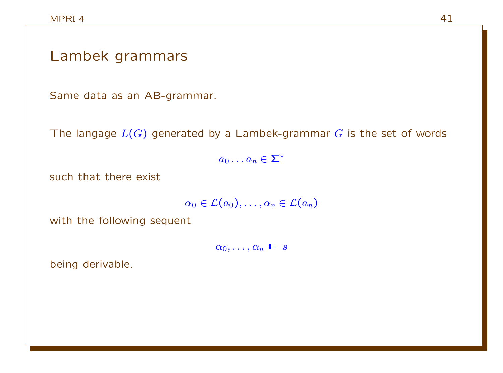#### Lambek grammars

Same data as an AB-grammar.

The langage  $L(G)$  generated by a Lambek-grammar G is the set of words

 $a_0 \ldots a_n \in \Sigma^*$ 

such that there exist

 $\alpha_0 \in \mathcal{L}(a_0), \ldots, \alpha_n \in \mathcal{L}(a_n)$ 

with the following sequent

 $\alpha_0, \ldots, \alpha_n \vdash s$ 

being derivable.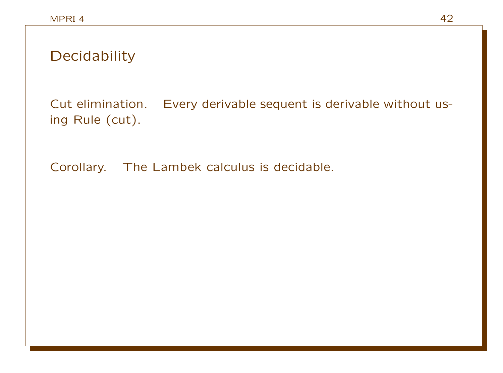Cut elimination. Every derivable sequent is derivable without using Rule (cut).

Corollary. The Lambek calculus is decidable.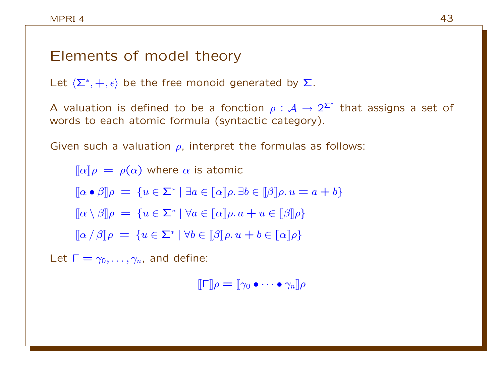#### Elements of model theory

Let  $\langle \Sigma^*, +, \epsilon \rangle$  be the free monoid generated by  $\Sigma$ .

A valuation is defined to be a fonction  $\rho : \mathcal{A} \to 2^{\Sigma^*}$  that assigns a set of words to each atomic formula (syntactic category).

Given such a valuation  $\rho$ , interpret the formulas as follows:

 $\lbrack \lbrack \alpha \rbrack \rbrack \rho = \rho(\alpha)$  where  $\alpha$  is atomic  $[\![\alpha \bullet \beta]\!] \rho = \{ u \in \Sigma^* \mid \exists a \in [\![\alpha]\!] \rho \ldotp \exists b \in [\![\beta]\!] \rho \ldotp u = a + b \}$  $[\![\alpha \setminus \beta]\!] \rho = \{ u \in \Sigma^* \mid \forall a \in [\![\alpha]\!] \rho. \, a + u \in [\![\beta]\!] \rho \}$  $[\![\alpha/\beta]\!] \rho = \{u \in \Sigma^* \mid \forall b \in [\![\beta]\!] \rho. u + b \in [\![\alpha]\!] \rho\}$ 

Let  $\Gamma = \gamma_0, \ldots, \gamma_n$ , and define:

 $[\![\Gamma]\!]_\rho = [\![\gamma_0 \bullet \cdots \bullet \gamma_n]\!]_\rho$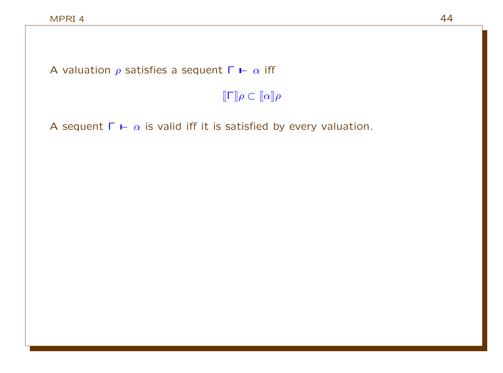A valuation  $\rho$  satisfies a sequent  $\Gamma \vdash \alpha$  iff

 $\llbracket \mathsf{\Gamma} \rrbracket \rho \subset \llbracket \alpha \rrbracket \rho$ 

A sequent  $\Gamma \vdash \alpha$  is valid iff it is satisfied by every valuation.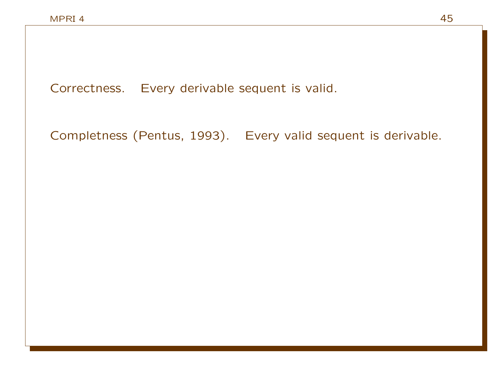Correctness. Every derivable sequent is valid.

Completness (Pentus, 1993). Every valid sequent is derivable.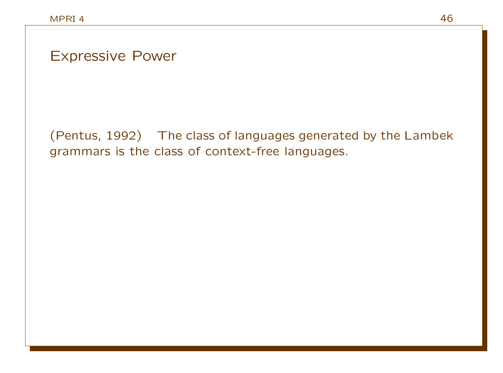Expressive Power

(Pentus, 1992) The class of languages generated by the Lambek grammars is the class of context-free languages.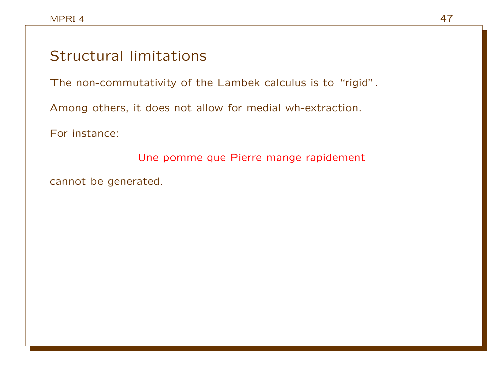#### Structural limitations

The non-commutativity of the Lambek calculus is to "rigid".

Among others, it does not allow for medial wh-extraction.

For instance:

Une pomme que Pierre mange rapidement

cannot be generated.